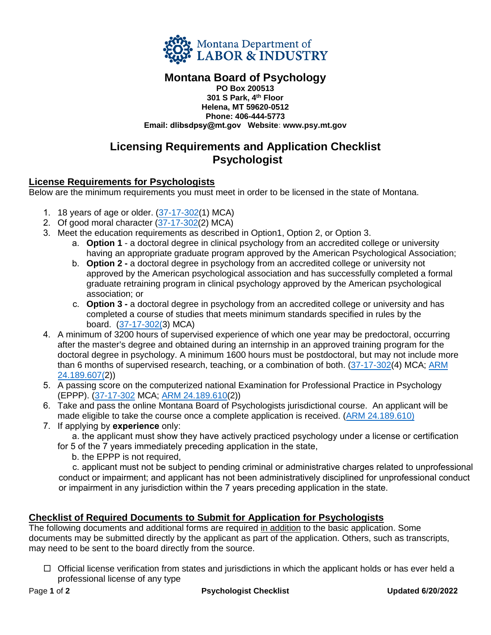

#### **Montana Board of Psychology PO Box 200513 301 S Park, 4 th Floor Helena, MT 59620-0512 Phone: 406-444-5773 Email: dlibsdpsy@mt.gov Website: www.psy.mt.gov**

# **Licensing Requirements and Application Checklist Psychologist**

# **License Requirements for Psychologists**

Below are the minimum requirements you must meet in order to be licensed in the state of Montana.

- 1. 18 years of age or older. [\(37-17-302\(1](http://leg.mt.gov/bills/mca/title_0370/chapter_0170/part_0030/section_0020/0370-0170-0030-0020.html)) MCA)
- 2. Of good moral character [\(37-17-302\(2](http://leg.mt.gov/bills/mca/title_0370/chapter_0170/part_0030/section_0020/0370-0170-0030-0020.html)) MCA)
- 3. Meet the education requirements as described in Option1, Option 2, or Option 3.
	- a. **Option 1** a doctoral degree in clinical psychology from an accredited college or university having an appropriate graduate program approved by the American Psychological Association;
	- b. **Option 2** a doctoral degree in psychology from an accredited college or university not approved by the American psychological association and has successfully completed a formal graduate retraining program in clinical psychology approved by the American psychological association; or
	- c. **Option 3** a doctoral degree in psychology from an accredited college or university and has completed a course of studies that meets minimum standards specified in rules by the board. [\(37-17-302\(3\)](http://leg.mt.gov/bills/mca/title_0370/chapter_0170/part_0030/section_0020/0370-0170-0030-0020.html) MCA)
- 4. A minimum of 3200 hours of supervised experience of which one year may be predoctoral, occurring after the master's degree and obtained during an internship in an approved training program for the doctoral degree in psychology. A minimum 1600 hours must be postdoctoral, but may not include more than 6 months of supervised research, teaching, or a combination of both. [\(37-17-302\(4](http://leg.mt.gov/bills/mca/title_0370/chapter_0170/part_0030/section_0020/0370-0170-0030-0020.html)) MCA; [ARM](http://www.mtrules.org/gateway/RuleNo.asp?RN=24%2E189%2E607) 24.189.607(2))
- 5. [A passing sc](http://www.mtrules.org/gateway/RuleNo.asp?RN=24%2E189%2E607)ore on the computerized national Examination for Professional Practice in Psychology (EPPP). [\(37-17-302](http://leg.mt.gov/bills/mca/title_0370/chapter_0170/part_0030/section_0020/0370-0170-0030-0020.html) MCA; [ARM 24.189.610\(](http://www.mtrules.org/gateway/RuleNo.asp?RN=24%2E189%2E610)2))
- 6. Take and pass the online Montana Board of Psychologists jurisdictional course. An applicant will be made eligible to take the course once a complete application is received. [\(ARM 24.189.610\)](http://www.mtrules.org/gateway/RuleNo.asp?RN=24%2E189%2E610)
- 7. If applying by **experience** only:

a. the applicant must show they have actively practiced psychology under a license or certification for 5 of the 7 years immediately preceding application in the state,

b. the EPPP is not required,

c. applicant must not be subject to pending criminal or administrative charges related to unprofessional conduct or impairment; and applicant has not been administratively disciplined for unprofessional conduct or impairment in any jurisdiction within the 7 years preceding application in the state.

## **Checklist of Required Documents to Submit for Application for Psychologists**

The following documents and additional forms are required in addition to the basic application. Some documents may be submitted directly by the applicant as part of the application. Others, such as transcripts, may need to be sent to the board directly from the source.

 $\Box$  Official license verification from states and jurisdictions in which the applicant holds or has ever held a professional license of any type